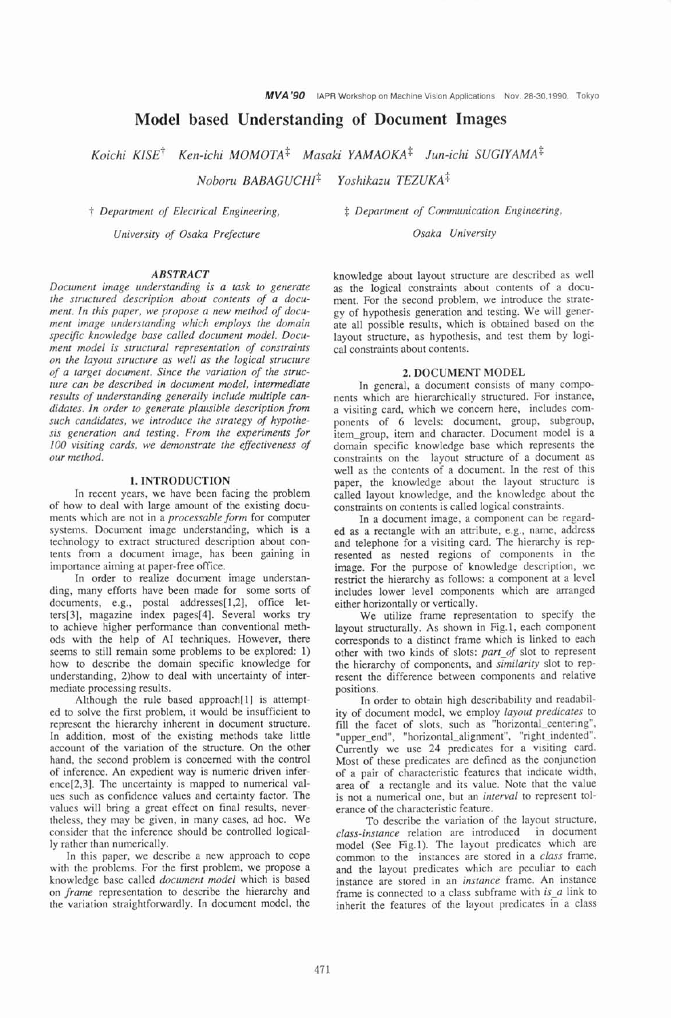# **Model based Understanding of Document Images**

*Koichi KISE~ Ken-ichi MOMOTA\* Masaki YAMAOKA\* Jun-ichi SUGIYAMA~ Noboru BABAGUCHI\* Yoshikazu TEZUKA\** 

*University of Osaka Prefecture Osaka University* 

#### *ABSTRACT*

*Document image understanding is a task to generate the structured description about contents of a document. In this paper, we propose a new method of document image understanding which employs the domain specific knowledge base called document model. Document model is structural representation of constraints on the layout structure as well as the logical structure of a target document. Since the variation of the structure can be described in document model, intermediate results of understanding generally include multiple candidates. In order to generate plausible description from such candidates, we introduce the strategy of hypothesis generation and testing. From the experiments for*  100 *visiting cards, we demonstrate the effectiveness of our method.* 

# **1. INTRODUCTION**

In recent years, we have been facing the problem of how to deal with large amount of the existing documents which are not in a *processable form* for computer systems. Document image understanding, which is a technology to extract structured description about contents from a document image, has been gaining in importance aiming at paper-free office.

In order to realize document image understanding, many efforts have been made for some sorts of documents, e.g., postal addresses[l,2], office leters[3], magazine index pages[4]. Several works try to achieve higher performance than conventional methods with the help of A1 techniques. However, there seems to still remain some problems to be explored: 1) how to describe the domain specific knowledge for understanding, 2)how to deal with uncertainty of intermediate processing results.

Although the rule based approach[l] is attempted to solve the first problem, it would be insufficient to represent the hierarchy inherent in document structure. In addition, most of the existing methods take little account of the variation of the structure. On the other hand, the second problem is concerned with the control of inference. An expedient way is numeric driven inference[2,3]. The uncertainty is mapped to numerical values such as confidence values and certainty factor. The values will bring a great effect on final results, nevertheless, they may be given, in many cases, ad hoc. We consider that the inference should be controlled logically rather than numerically.

In this paper, we describe a new approach to cope with the problems. For the first problem, we propose a knowledge base called *document model* which is based on *frame* representation to describe the hierarchy and the variation straightforwardly. In document model, the

t *Department of Electrical Engineering,* \$ *Department of Communication Engineering,* 

knowledge about layout structure are described as well as the logical constraints about contents of a document. For the second problem, we introduce the strategy of hypothesis generation and testing. We will generate all possible results, which is obtained based on the layout structure, as hypothesis, and test them by logical constraints about contents.

# **2. DOCUMENT MODEL**

In general, a document consists of many components which are hierarchically structured. For instance, a visiting card, which we concern here, includes components of *6* levels: document, group, subgroup, item\_group, item and character. Document model is a domain specific knowledge base which represents the constraints on the layout structure of a document as well as the contents of a document. In the rest of this paper, the knowledge about the layout structure is called layout knowledge, and the knowledge about the constraints on contents is called logical constraints.

In a document image, a component can be regard**ed** as a rectangle with an attribute, e.g., name, address and telephone for a visiting card. The hierarchy is represented as nested regions of components in the image. For the purpose of knowledge description, we restrict the hierarchy as follows: a component at a level includes lower level components which are arranged either horizontally or vertically.

We utilize frame representation to specify the layout structurally. As shown in Fig. 1, each component corresponds to a distinct frame which is linked to each other with two kinds of slots: *part-of* slot to represent the hierarchy of components, and *similarity* slot to represent the difference between components and relative positions.

In order to obtain high describability and readability of document model, we employ *layout predicates* to fill the facet of slots, such as "horizontal-centering", 'upper\_end", "horizontal\_alignment", "right\_indented". Currently we use 24 predicates for a visiting card. Most of these predicates are defined as the conjunction of a pair of characteristic features that indicate width, area of a rectangle and its value. Note that the value is not a numerical one, but an *interval* to represent tolerance of the characteristic feature.

To describe the variation of the layout structure, *class-instance* relation are introduced in document model (See Fig.1). The layout predicates which are common to the instances are stored in a *class* frame, and the layout predicates which are peculiar to each instance are stored in an *instance* frame. An instance frame is connected to a class subframe with *is-a* link to inherit the features of the layout predicates in a class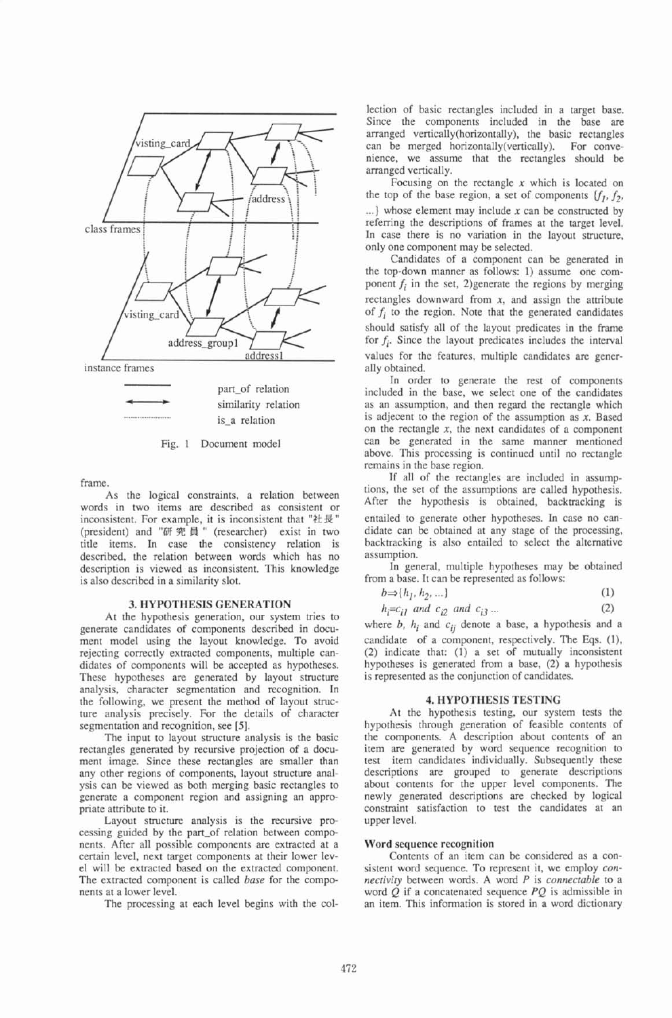

frame.

As the logical constraints, a relation between words in two items **are** described as consistent or inconsistent. For example, it is inconsistent that " $\forall t \not\in \mathcal{F}$ " (president) and "研究員" (researcher) exist in two title items. In case the consistency relation is described, the relation between words which has no description is viewed as inconsistent. This knowledge is also described in a similarity slot.

# **3. HYPOTHESIS GENERATION**

At the hypothesis generation, our system tries to generate candidates of components described in document model using the layout knowledge. To avoid rejecting correctly extracted components, multiple candidates of components will be accepted as hypotheses. These hypotheses are generated by layout structure analysis, character segmentation and recognition. In the following, we present the method of layout structure analysis precisely. For the details of character segmentation and recognition, see **[5].** 

The input to layout structure analysis is the basic rectangles generated by recursive projection of a document image. Since these rectangles are smaller than any other regions of components, layout structure analysis can be viewed as both merging basic rectangles to generate a component region and assigning an appropriate attribute to it.

Layout structure analysis is the recursive processing guided by the part-of relation between components. After all possible components are extracted at a certain level, next target components at their lower level will be extracted based on the extracted component. The extracted component is called *base* for the components at a lower level.

The processing at each level begins with the col-

lection of basic rectangles included in a target base. Since the components included in the base are arranged vertically(horizontaIly), the basic rectangles can be merged horizontally(vertica1ly). For convenience, we assume that the rectangles should be arranged vertically.

Focusing on the rectangle **x** which is located on the top of the base region, a set of components  $[f_1, f_2,$ ...I whose element may include **x** can be constructed by refemng the descriptions of frames at the target level. In case there is no variation in the layout structure, only one component may be selected.

Candidates of a component can be generated in the top-down manner as follows: 1) assume one component  $f_i$  in the set, 2)generate the regions by merging rectangles downward from **x,** and assign the attribute of  $f_i$  to the region. Note that the generated candidates should satisfy all of the layout predicates in the frame for  $f_i$ . Since the layout predicates includes the interval values for the features, multiple candidates **are** generally obtained.

In order to generate the rest of components included in the base, we select one of the candidates as an assumption, and then regard the rectangle which is adjecent to the region of the assumption as **x.** Based on the rectangle **x,** the next candidates of a component can be generated in the same manner mentioned above. This processing is continued until no rectangle remains in the base region.

If all of the rectangles are included in assumptions, the set of the assumptions are called hypothesis. After the hypothesis is obtained, backtracking is entailed to generate other hypotheses. In case no candidate can be obtained at any stage of the processing, backtracking is also entailed to select the alternative assumption.

In general, multiple hypotheses may be obtained from a base. It can be represented as follows:

| $b \Rightarrow \{h_1, h_2, \ldots\}$ | (1) |
|--------------------------------------|-----|
|                                      |     |

| $h_i = c_{i1}$ and $c_{i2}$ and $c_{i3}$ | (2) |
|------------------------------------------|-----|
|------------------------------------------|-----|

where  $b$ ,  $h_i$  and  $c_{ij}$  denote a base, a hypothesis and a candidate of a component, respectively. The Eqs. (I), (2) indicate that: (1) a set of mutually inconsistent hypotheses is generated from a base, (2) a hypothesis is represented as the conjunction of candidates.

# **4. HYPOTHESIS TESTING**

At the hypothesis testing, our system tests the hypothesis through generation of feasible contents of the components. A description about contents of an item are generated by word sequence recognition to test item candidates individually. Subsequently these descriptions are grouped to generate descriptions about contents for the upper level components. The newly generated descriptions are checked by logical constraint satisfaction to test the candidates at an upper level.

# **Word sequence recognition**

Contents of an item can be considered as a consistent word sequence. To represent it, we employ **con***nectivity* between words. A word P is *connectable* to a word  $Q$  if a concatenated sequence  $PQ$  is admissible in an item. This information is stored in a word dictionary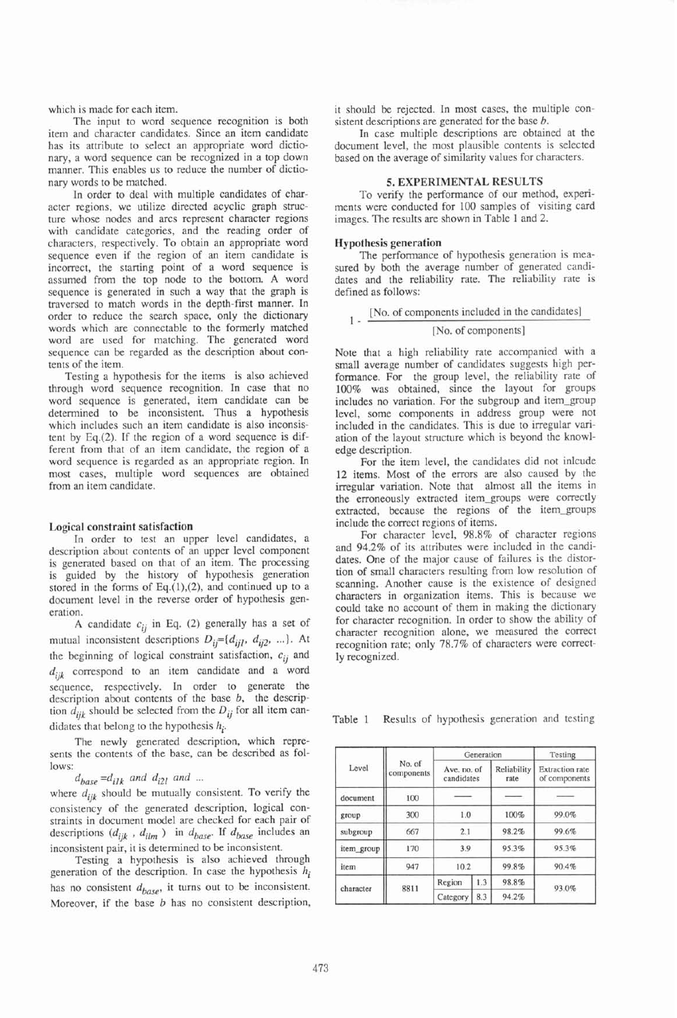which is made for each item.

The input to word sequence recognition is both item and character candidates. Since an item candidate has its attribute to select an appropriate word dictionary, a word sequence can be recognized in a top down manner. This enables us to reduce the number of dictionary words to be matched.

In order to deal with multiple candidates of character regions, we utilize directed acyclic graph structure whose nodes and arcs represent character regions with candidate categories, and the reading order of characters, respectively. To obtain an appropriate word sequence even if the region of an item candidate is incorrect, the starting point of a word sequence is assumed from the top node to the bottom. A word sequence is generated in such a way that the graph is traversed to match words in the depth-first manner. In order to reduce the search space, only the dictionary words which are connectable to the formerly matched word are used for matching. The generated word sequence can be regarded as the description about contents of the item.

Testing a hypothesis for the items is also achieved through word sequence recognition. In case that no word sequence is generated, item candidate can be determined to be inconsistent. Thus a hypothesis which includes such an item candidate is also inconsistent by Eq.(2). If the region of a word sequence is different from that of an item candidate, the region of a word sequence is regarded as an appropriate region. In most cases, multiple word sequences are obtained from an item candidate.

# **Logical constraint satisfaction**

In order to test an upper level candidates, a description about contents of an upper level component is generated based on that of an item. The processing is guided by the history of hypothesis generation stored in the forms of Eq. $(1)$ , $(2)$ , and continued up to a document level in the reverse order of hypothesis generation.

A candidate *cii* in Eq. (2) generally has a set of mutual inconsistent descriptions  $D_{ij} = \{d_{ijl}, d_{ij2}, ... \}$ . At the beginning of logical constraint satisfaction,  $c_{ij}$  and  $d_{ijk}$  correspond to an item candidate and a word sequence, respectively. In order to generate the description about contents of the base *b,* the descripion  $d_{ijk}$  should be selected from the  $D_{ij}$  for all item candidates that belong to the hypothesis  $h_i$ .

The newly generated description, which represents the contents of the base, can be described as follows:

 $d_{base} = d_{i1k}$  and  $d_{i2l}$  and ...

where  $d_{ijk}$  should be mutually consistent. To verify the consistency of the generated description, logical constraints in document model are checked for each pair of descriptions  $(d_{ijk}$ ,  $d_{ilm}$ ) in  $d_{base}$ . If  $d_{base}$  includes an inconsistent pair, it is determined to be inconsistent.

Testing a hypothesis is also achieved through generation of the description. In case the hypothesis *hi*  has no consistent  $d_{base}$ , it turns out to be inconsistent. Moreover, if the base *b* has no consistent description, it should be rejected. In most cases, the multiple consistent descriptions are generated for the base *b*.

In case multiple descriptions are obtained at the document level, the most plausible contents is selected based on the average of similarity values for characters.

#### **5. EXPERIMENTAL RESULTS**

To verify the performance of our method, experiments were conducted for 100 samples of visiting card images. The results are shown in Table 1 and 2.

### **Hypothesis generation**

The performance of hypothesis generation is measured by both the average number of generated candidates and the reliability rate. The reliability rate is defined as follows:

[No. of components included in the candidates] 1 - [No. of components]

Note that a high reliability rate accompanied with a small average number of candidates suggests high performance. For the group level, the reliability rate of 100% was obtained, since the layout for groups includes no variation. For the subgroup and item-group level, some components in address group were not included in the candidates. This is due to irregular variation of the layout structure which is beyond the knowledge description.

For the item level, the candidates did not inlcude 12 items. Most of the errors are also caused by the irregular variation. Note that almost all the items in the erroneously extracted item-groups were correctly extracted, because the regions of the itemgroups include the correct regions of items.

For character level, 98.8% of character regions and 94.2% of its attributes were included in the candidates. One of the major cause of failures is the distortion of small characters resulting from low resolution of scanning. Another cause is the existence of designed characters in organization items. This is because we could take no account of them in making the dictionary for character recognition. In order to show the ability of character recognition alone, we measured the correct recognition rate; only 78.7% of characters were correctly recognized.

Table 1 Results of hypothesis generation and testing

|            |                      | Generation                |     |                     | Testing                          |       |       |
|------------|----------------------|---------------------------|-----|---------------------|----------------------------------|-------|-------|
| Level      | No. of<br>components | Ave, no, of<br>candidates |     | Reliability<br>rate | Extraction rate<br>of components |       |       |
| document   | 100                  |                           |     |                     |                                  |       |       |
| group      | 300                  | 1.0                       |     | 100%                | 99.0%                            |       |       |
| subgroup   | 667                  | 2.1                       |     | 98.2%               | 99.6%                            |       |       |
| item group | 170                  | 3.9                       |     |                     |                                  | 95.3% | 95.3% |
| item       | 947                  | 10.2                      |     | 99.8%               | 90.4%                            |       |       |
| character  | 8811                 | Region                    | 1.3 | 98.8%               | 93.0%                            |       |       |
|            |                      | 8.3<br>Category           |     | 94.2%               |                                  |       |       |